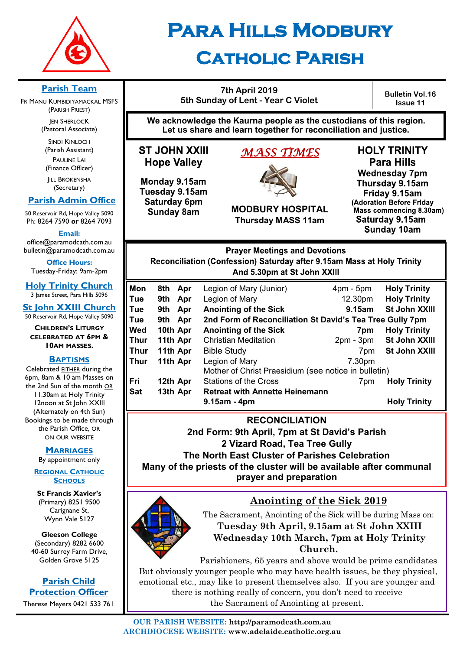

# **Para Hills Modbury**

# **Catholic Parish**

**Parish Team** 

FR MANU KUMBIDIYAMACKAL MSFS (PARISH PRIEST) **JEN SHERLOCK** 

(Pastoral Associate)

SINDI KINLOCH (Parish Assistant) PAULINE LAI (Finance Officer)

**IILL BROKENSHA** (Secretary)

#### **Parish Admin Office**

50 Reservoir Rd, Hope Valley 5090 Ph: 8264 7590 *or* 8264 7093

**Email:** 

office@paramodcath.com.au bulletin@paramodcath.com.au

**Office Hours:**  Tuesday-Friday: 9am-2pm

**Holy Trinity Church** 3 James Street, Para Hills 5096

**St John XXIII Church** 50 Reservoir Rd, Hope Valley 5090

**CHILDREN'S LITURGY CELEBRATED AT 6PM & 10AM MASSES.**

#### **BAPTISMS**

Celebrated EITHER during the 6pm, 8am & 10 am Masses on the 2nd Sun of the month OR 11.30am at Holy Trinity 12noon at St John XXIII (Alternately on 4th Sun) Bookings to be made through the Parish Office, OR ON OUR WEBSITE

#### **MARRIAGES**

By appointment only

**REGIONAL CATHOLIC SCHOOLS**

**St Francis Xavier's**  (Primary) 8251 9500 Carignane St, Wynn Vale 5127

**Gleeson College**  (Secondary) 8282 6600 40-60 Surrey Farm Drive, Golden Grove 5125

#### **Parish Child Protection Officer**

Therese Meyers 0421 533 761

**7th April 2019 5th Sunday of Lent - Year C Violet**

**Bulletin Vol.16 Issue 11**

**We acknowledge the Kaurna people as the custodians of this region. Let us share and learn together for reconciliation and justice.**

**ST JOHN XXIII Hope Valley** 

Monday 9.15am Tuesday 9.15am Saturday 6pm **Sunday 8am** 

# *MASS TIMES*



**MODBURY HOSPITAL Thursday MASS 11am**

**HOLY TRINITY Para Hills Wednesday 7pm** Thursday 9.15am Friday 9.15am (Adoration Before Friday Mass commencing 8.30am) Saturday 9.15am **Sunday 10am** 

**Prayer Meetings and Devotions** Reconciliation (Confession) Saturday after 9.15am Mass at Holy Trinity And 5.30pm at St John XXIII

| Mon<br>Tue | 8th Apr<br>Apr<br>9th | Legion of Mary (Junior)<br>Legion of Mary                | $4pm - 5pm$<br>12.30pm | <b>Holy Trinity</b><br><b>Holy Trinity</b> |  |  |
|------------|-----------------------|----------------------------------------------------------|------------------------|--------------------------------------------|--|--|
| Tue        | Apr<br>9th            | <b>Anointing of the Sick</b>                             | 9.15am                 | <b>St John XXIII</b>                       |  |  |
| Tue        | 9th Apr               | 2nd Form of Reconciliation St David's Tea Tree Gully 7pm |                        |                                            |  |  |
| Wed        | 10th Apr              | <b>Anointing of the Sick</b>                             | 7pm                    | <b>Holy Trinity</b>                        |  |  |
| Thur       | 11th Apr              | <b>Christian Meditation</b>                              | $2pm - 3pm$            | St John XXIII                              |  |  |
| Thur       | 11th Apr              | <b>Bible Study</b>                                       | 7pm                    | St John XXIII                              |  |  |
| Thur       | 11th Apr              | Legion of Mary                                           | 7.30pm                 |                                            |  |  |
|            |                       | Mother of Christ Praesidium (see notice in bulletin)     |                        |                                            |  |  |
| Fri        | 12th Apr              | <b>Stations of the Cross</b>                             | 7 <sub>pm</sub>        | <b>Holy Trinity</b>                        |  |  |
| Sat        | 13th Apr              | <b>Retreat with Annette Heinemann</b>                    |                        |                                            |  |  |
|            |                       | $9.15am - 4pm$                                           |                        | <b>Holy Trinity</b>                        |  |  |

**RECONCILIATION**

**2nd Form: 9th April, 7pm at St David's Parish** 

**2 Vizard Road, Tea Tree Gully** 

**The North East Cluster of Parishes Celebration**

**Many of the priests of the cluster will be available after communal prayer and preparation**



# **Anointing of the Sick 2019**

The Sacrament, Anointing of the Sick will be during Mass on: **Tuesday 9th April, 9.15am at St John XXIII Wednesday 10th March, 7pm at Holy Trinity Church.**

Parishioners, 65 years and above would be prime candidates But obviously younger people who may have health issues, be they physical, emotional etc., may like to present themselves also. If you are younger and there is nothing really of concern, you don't need to receive the Sacrament of Anointing at present.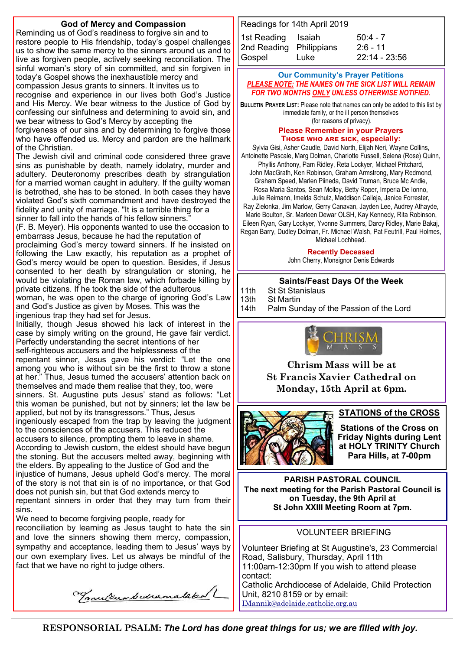#### **God of Mercy and Compassion**

Reminding us of God's readiness to forgive sin and to restore people to His friendship, today's gospel challenges us to show the same mercy to the sinners around us and to live as forgiven people, actively seeking reconciliation. The sinful woman's story of sin committed, and sin forgiven in today's Gospel shows the inexhaustible mercy and compassion Jesus grants to sinners. It invites us to recognise and experience in our lives both God's Justice and His Mercy. We bear witness to the Justice of God by confessing our sinfulness and determining to avoid sin, and we bear witness to God's Mercy by accepting the

forgiveness of our sins and by determining to forgive those who have offended us. Mercy and pardon are the hallmark of the Christian.

The Jewish civil and criminal code considered three grave sins as punishable by death, namely idolatry, murder and adultery. Deuteronomy prescribes death by strangulation for a married woman caught in adultery. If the guilty woman is betrothed, she has to be stoned. In both cases they have violated God's sixth commandment and have destroyed the fidelity and unity of marriage. "It is a terrible thing for a sinner to fall into the hands of his fellow sinners."

(F. B. Meyer). His opponents wanted to use the occasion to embarrass Jesus, because he had the reputation of

proclaiming God's mercy toward sinners. If he insisted on following the Law exactly, his reputation as a prophet of God's mercy would be open to question. Besides, if Jesus consented to her death by strangulation or stoning, he would be violating the Roman law, which forbade killing by private citizens. If he took the side of the adulterous woman, he was open to the charge of ignoring God's Law and God's Justice as given by Moses. This was the ingenious trap they had set for Jesus.

Initially, though Jesus showed his lack of interest in the case by simply writing on the ground, He gave fair verdict. Perfectly understanding the secret intentions of her self-righteous accusers and the helplessness of the repentant sinner, Jesus gave his verdict: "Let the one among you who is without sin be the first to throw a stone at her." Thus, Jesus turned the accusers' attention back on themselves and made them realise that they, too, were sinners. St. Augustine puts Jesus' stand as follows: "Let this woman be punished, but not by sinners; let the law be applied, but not by its transgressors." Thus, Jesus ingeniously escaped from the trap by leaving the judgment to the consciences of the accusers. This reduced the accusers to silence, prompting them to leave in shame. According to Jewish custom, the eldest should have begun the stoning. But the accusers melted away, beginning with the elders. By appealing to the Justice of God and the injustice of humans, Jesus upheld God's mercy. The moral of the story is not that sin is of no importance, or that God does not punish sin, but that God extends mercy to repentant sinners in order that they may turn from their sins.

We need to become forgiving people, ready for reconciliation by learning as Jesus taught to hate the sin and love the sinners showing them mercy, compassion, sympathy and acceptance, leading them to Jesus' ways by our own exemplary lives. Let us always be mindful of the fact that we have no right to judge others.

Tanulumbedramatakal

| Readings for 14th April 2019 |      |                 |  |  |  |  |  |  |
|------------------------------|------|-----------------|--|--|--|--|--|--|
| 1st Reading Isaiah           |      | $50:4 - 7$      |  |  |  |  |  |  |
| 2nd Reading Philippians      |      | $2:6 - 11$      |  |  |  |  |  |  |
| Gospel                       | Luke | $22:14 - 23:56$ |  |  |  |  |  |  |

#### **Our Community's Prayer Petitions**  *PLEASE NOTE: THE NAMES ON THE SICK LIST WILL REMAIN FOR TWO MONTHS ONLY UNLESS OTHERWISE NOTIFIED.*

**BULLETIN PRAYER LIST:** Please note that names can only be added to this list by immediate family, or the ill person themselves (for reasons of privacy).

#### **Please Remember in your Prayers Those who are sick, especially:**

Sylvia Gisi, Asher Caudle, David North, Elijah Neri, Wayne Collins, Antoinette Pascale, Marg Dolman, Charlotte Fussell, Selena (Rose) Quinn, Phyllis Anthony, Pam Ridley, Reta Lockyer, Michael Pritchard, John MacGrath, Ken Robinson, Graham Armstrong, Mary Redmond, Graham Speed, Marlen Piineda, David Truman, Bruce Mc Andie, Rosa Maria Santos, Sean Molloy, Betty Roper, Imperia De Ionno, Julie Reimann, Imelda Schulz, Maddison Calleja, Janice Forrester, Ray Zielonka, Jim Marlow, Gerry Canavan, Jayden Lee, Audrey Athayde, Marie Boulton, Sr. Marleen Dewar OLSH, Kay Kennedy, Rita Robinson, Eileen Ryan, Gary Lockyer, Yvonne Summers, Darcy Ridley, Marie Bakaj, Regan Barry, Dudley Dolman, Fr. Michael Walsh, Pat Feutrill, Paul Holmes, Michael Lochhead.

#### **Recently Deceased**

John Cherry, Monsignor Denis Edwards

#### **Saints/Feast Days Of the Week**

11th St St Stanislaus<br>13th St Martin

13th St Martin<br>14th Palm Sur

Palm Sunday of the Passion of the Lord



**Chrism Mass will be at St Francis Xavier Cathedral on Monday, 15th April at 6pm.**



#### **STATIONS of the CROSS**

**Stations of the Cross on Friday Nights during Lent at HOLY TRINITY Church Para Hills, at 7-00pm** 

**PARISH PASTORAL COUNCIL The next meeting for the Parish Pastoral Council is on Tuesday, the 9th April at St John XXIII Meeting Room at 7pm.**

#### VOLUNTEER BRIEFING

Volunteer Briefing at St Augustine's, 23 Commercial Road, Salisbury, Thursday, April 11th 11:00am-12:30pm If you wish to attend please contact: Catholic Archdiocese of Adelaide, Child Protection Unit, 8210 8159 or by email:

IMannik@adelaide.catholic.org.au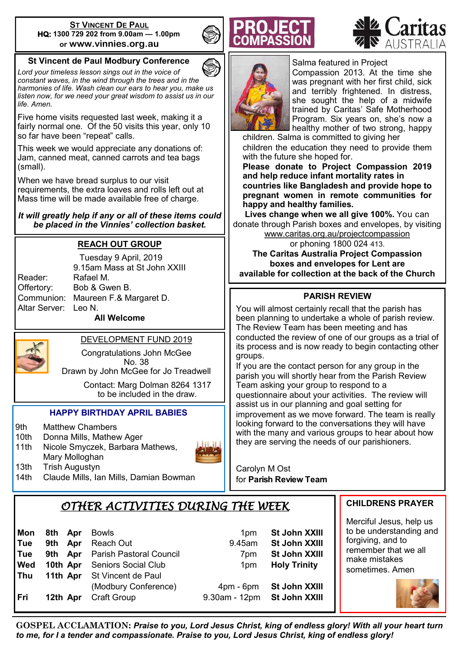#### **ST VINCENT DE PAUL HQ: 1300 729 202 from 9.00am — 1.00pm or www.vinnies.org.au**

#### **St Vincent de Paul Modbury Conference**

*Lord your timeless lesson sings out in the voice of constant waves, in the wind through the trees and in the harmonies of life. Wash clean our ears to hear you, make us listen now, for we need your great wisdom to assist us in our life. Amen.*

Five home visits requested last week, making it a fairly normal one. Of the 50 visits this year, only 10 so far have been "repeat" calls.

This week we would appreciate any donations of: Jam, canned meat, canned carrots and tea bags (small).

When we have bread surplus to our visit requirements, the extra loaves and rolls left out at Mass time will be made available free of charge.

*It will greatly help if any or all of these items could be placed in the Vinnies' collection basket.* 

#### **REACH OUT GROUP**

Reader: Rafael M. Altar Server: Leo N.

Tuesday 9 April, 2019 9.15am Mass at St John XXIII Offertory: Bob & Gwen B. Communion: Maureen F.& Margaret D.

**All Welcome**



DEVELOPMENT FUND 2019

Congratulations John McGee No. 38 Drawn by John McGee for Jo Treadwell

> Contact: Marg Dolman 8264 1317 to be included in the draw.

#### **HAPPY BIRTHDAY APRIL BABIES**

- 9th Matthew Chambers
- 10th Donna Mills, Mathew Ager
- 11th Nicole Smyczek, Barbara Mathews, Mary Molloghan
- 13th Trish Augustyn
- 14th Claude Mills, Ian Mills, Damian Bowman







Salma featured in Project Compassion 2013. At the time she was pregnant with her first child, sick and terribly frightened. In distress, she sought the help of a midwife trained by Caritas' Safe Motherhood Program. Six years on, she's now a healthy mother of two strong, happy

children. Salma is committed to giving her children the education they need to provide them with the future she hoped for.

**Please donate to Project Compassion 2019 and help reduce infant mortality rates in countries like Bangladesh and provide hope to pregnant women in remote communities for happy and healthy families.**

**Lives change when we all give 100%.** You can donate through Parish boxes and envelopes, by visiting

[www.caritas.org.au/projectcompassion](http://www.caritas.org.au/projectcompassion) or phoning 1800 024 413.

**The Caritas Australia Project Compassion boxes and envelopes for Lent are available for collection at the back of the Church**

#### **PARISH REVIEW**

You will almost certainly recall that the parish has been planning to undertake a whole of parish review. The Review Team has been meeting and has conducted the review of one of our groups as a trial of its process and is now ready to begin contacting other groups.

If you are the contact person for any group in the parish you will shortly hear from the Parish Review Team asking your group to respond to a questionnaire about your activities. The review will assist us in our planning and goal setting for improvement as we move forward. The team is really looking forward to the conversations they will have with the many and various groups to hear about how they are serving the needs of our parishioners.

Carolyn M Ost for **Parish Review Team**

# *OTHER ACTIVITIES DURING THE WEEK*

| Mon<br><b>Tue</b><br>l Tue<br><b>Ned</b><br>  Thu | 8th Apr<br>9th Apr | Bowls<br>Reach Out<br>9th Apr Parish Pastoral Council<br><b>10th Apr</b> Seniors Social Club<br><b>11th Apr</b> St Vincent de Paul | 1 <sub>pm</sub><br>9.45am<br>7 <sub>pm</sub><br>1 <sub>pm</sub> | St John XXIII<br>St John XXIII<br>St John XXIII<br><b>Holy Trinity</b> | $\begin{array}{c} \n\text{tc} \\ \text{fc}\n\end{array}$<br>r<br>s |
|---------------------------------------------------|--------------------|------------------------------------------------------------------------------------------------------------------------------------|-----------------------------------------------------------------|------------------------------------------------------------------------|--------------------------------------------------------------------|
| l Fri                                             | 12th Apr           | (Modbury Conference)<br>Craft Group                                                                                                | $4pm - 6pm$<br>9.30am - 12pm                                    | St John XXIII<br>St John XXIII                                         |                                                                    |

**CHILDRENS PRAYER**

Merciful Jesus, help us o be understanding and forgiving, and to emember that we all make mistakes ometimes. Amen



**GOSPEL ACCLAMATION:** *Praise to you, Lord Jesus Christ, king of endless glory! With all your heart turn to me, for I a tender and compassionate. Praise to you, Lord Jesus Christ, king of endless glory!*